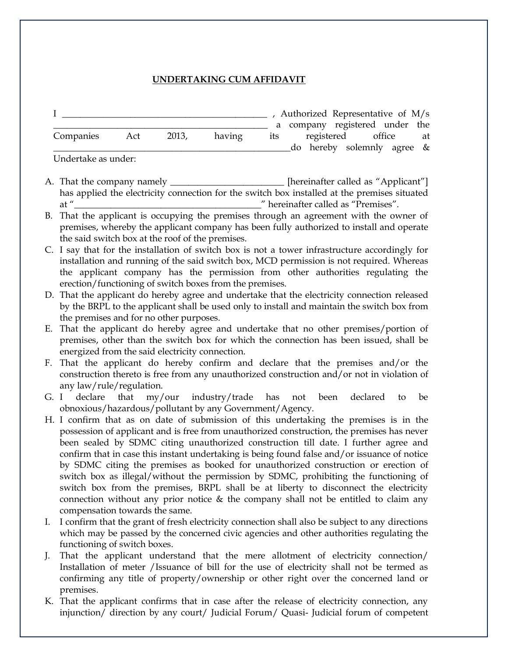## **UNDERTAKING CUM AFFIDAVIT**

|                     |     |       |        | Authorized Representative of M/s |                            |    |
|---------------------|-----|-------|--------|----------------------------------|----------------------------|----|
|                     |     |       |        | a company registered under the   |                            |    |
| Companies           | Act | 2013, | having | its                              | registered office          | at |
|                     |     |       |        |                                  | do hereby solemnly agree & |    |
| Undertake as under: |     |       |        |                                  |                            |    |

A. That the company namely \_\_\_\_\_\_\_\_\_\_\_\_\_\_\_\_\_\_\_\_\_\_\_ [hereinafter called as "Applicant"] has applied the electricity connection for the switch box installed at the premises situated at "\_\_\_\_\_\_\_\_\_\_\_\_\_\_\_\_\_\_\_\_\_\_\_\_\_\_\_\_\_\_\_\_\_\_\_\_\_\_\_\_\_" hereinafter called as "Premises".

- B. That the applicant is occupying the premises through an agreement with the owner of premises, whereby the applicant company has been fully authorized to install and operate the said switch box at the roof of the premises.
- C. I say that for the installation of switch box is not a tower infrastructure accordingly for installation and running of the said switch box, MCD permission is not required. Whereas the applicant company has the permission from other authorities regulating the erection/functioning of switch boxes from the premises.
- D. That the applicant do hereby agree and undertake that the electricity connection released by the BRPL to the applicant shall be used only to install and maintain the switch box from the premises and for no other purposes.
- E. That the applicant do hereby agree and undertake that no other premises/portion of premises, other than the switch box for which the connection has been issued, shall be energized from the said electricity connection.
- F. That the applicant do hereby confirm and declare that the premises and/or the construction thereto is free from any unauthorized construction and/or not in violation of any law/rule/regulation.
- G. I declare that my/our industry/trade has not been declared to be obnoxious/hazardous/pollutant by any Government/Agency.
- H. I confirm that as on date of submission of this undertaking the premises is in the possession of applicant and is free from unauthorized construction, the premises has never been sealed by SDMC citing unauthorized construction till date. I further agree and confirm that in case this instant undertaking is being found false and/or issuance of notice by SDMC citing the premises as booked for unauthorized construction or erection of switch box as illegal/without the permission by SDMC, prohibiting the functioning of switch box from the premises, BRPL shall be at liberty to disconnect the electricity connection without any prior notice & the company shall not be entitled to claim any compensation towards the same.
- I. I confirm that the grant of fresh electricity connection shall also be subject to any directions which may be passed by the concerned civic agencies and other authorities regulating the functioning of switch boxes.
- J. That the applicant understand that the mere allotment of electricity connection/ Installation of meter /Issuance of bill for the use of electricity shall not be termed as confirming any title of property/ownership or other right over the concerned land or premises.
- K. That the applicant confirms that in case after the release of electricity connection, any injunction/ direction by any court/ Judicial Forum/ Quasi- Judicial forum of competent